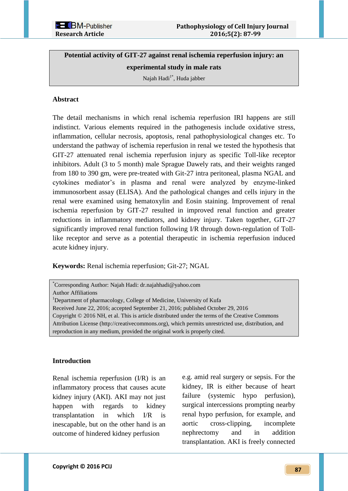**Potential activity of GIT-27 against renal ischemia reperfusion injury: an experimental study in male rats** 

Najah Hadi $1^*$ , Huda jabber

# **Abstract**

The detail mechanisms in which renal ischemia reperfusion IRI happens are still indistinct. Various elements required in the pathogenesis include oxidative stress, inflammation, cellular necrosis, apoptosis, renal pathophysiological changes etc. To understand the pathway of ischemia reperfusion in renal we tested the hypothesis that GIT-27 attenuated renal ischemia reperfusion injury as specific Toll-like receptor inhibitors. Adult (3 to 5 month) male Sprague Dawely rats, and their weights ranged from 180 to 390 gm, were pre-treated with Git-27 intra peritoneal, plasma NGAL and cytokines mediator's in plasma and renal were analyzed by enzyme-linked immunosorbent assay (ELISA). And the pathological changes and cells injury in the renal were examined using hematoxylin and Eosin staining. Improvement of renal ischemia reperfusion by GIT-27 resulted in improved renal function and greater reductions in inflammatory mediators, and kidney injury. Taken together, GIT-27 significantly improved renal function following I/R through down-regulation of Tolllike receptor and serve as a potential therapeutic in ischemia reperfusion induced acute kidney injury.

**Keywords:** Renal ischemia reperfusion; Git-27; NGAL

| *Corresponding Author: Najah Hadi: dr.najahhadi@yahoo.com                                           |
|-----------------------------------------------------------------------------------------------------|
| <b>Author Affiliations</b>                                                                          |
| <sup>1</sup> Department of pharmacology, College of Medicine, University of Kufa                    |
| Received June 22, 2016; accepted September 21, 2016; published October 29, 2016                     |
| Copyright © 2016 NH, et al. This is article distributed under the terms of the Creative Commons     |
| Attribution License (http://creativecommons.org), which permits unrestricted use, distribution, and |
| reproduction in any medium, provided the original work is properly cited.                           |
|                                                                                                     |

## **Introduction**

Renal ischemia reperfusion (I/R) is an inflammatory process that causes acute kidney injury (AKI). AKI may not just happen with regards to kidney transplantation in which I/R is inescapable, but on the other hand is an outcome of hindered kidney perfusion

e.g. amid real surgery or sepsis. For the kidney, IR is either because of heart failure (systemic hypo perfusion), surgical intercessions prompting nearby renal hypo perfusion, for example, and aortic cross-clipping, incomplete nephrectomy and in addition transplantation. AKI is freely connected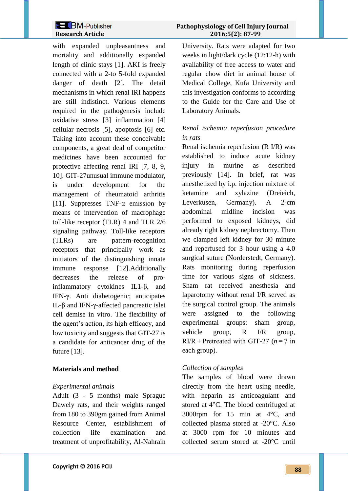with expanded unpleasantness and mortality and additionally expanded length of clinic stays [1]. AKI is freely connected with a 2-to 5-fold expanded danger of death [2]. The detail mechanisms in which renal IRI happens are still indistinct. Various elements required in the pathogenesis include oxidative stress [3] inflammation [4] cellular necrosis [5], apoptosis [6] etc. Taking into account these conceivable components, a great deal of competitor medicines have been accounted for protective affecting renal IRI [7, 8, 9, 10]. GIT-27unusual immune modulator, is under development for the management of rheumatoid arthritis [11]. Suppresses TNF- $\alpha$  emission by means of intervention of macrophage toll-like receptor (TLR) 4 and TLR 2/6 signaling pathway. Toll-like receptors (TLRs) are pattern-recognition receptors that principally work as initiators of the distinguishing innate immune response [12].Additionally decreases the release of proinflammatory cytokines IL1-β, and IFN-γ. Anti diabetogenic; anticipates IL-β and IFN-γ-affected pancreatic islet cell demise in vitro. The flexibility of the agent's action, its high efficacy, and low toxicity and suggests that GIT-27 is a candidate for anticancer drug of the future [13].

# **Materials and method**

## *Experimental animals*

Adult (3 - 5 months) male Sprague Dawely rats, and their weights ranged from 180 to 390gm gained from Animal Resource Center, establishment of collection life examination and treatment of unprofitability, Al-Nahrain

# **2 BM-Publisher** Pathophysiology of Cell Injury Journal  **Research Article 2016;5(2): 87-99**

University. Rats were adapted for two weeks in light/dark cycle (12:12-h) with availability of free access to water and regular chow diet in animal house of Medical College, Kufa University and this investigation conforms to according to the Guide for the Care and Use of Laboratory Animals.

# *Renal ischemia reperfusion procedure in rats*

Renal ischemia reperfusion (R I/R) was established to induce acute kidney injury in murine as described previously [14]. In brief, rat was anesthetized by i.p. injection mixture of ketamine and xylazine (Dreieich, Leverkusen, Germany). A 2-cm abdominal midline incision was performed to exposed kidneys, did already right kidney nephrectomy. Then we clamped left kidney for 30 minute and reperfused for 3 hour using a 4.0 surgical suture (Norderstedt, Germany). Rats monitoring during reperfusion time for various signs of sickness. Sham rat received anesthesia and laparotomy without renal I/R served as the surgical control group. The animals were assigned to the following experimental groups: sham group, vehicle group, R I/R group, RI/R + Pretreated with GIT-27 (*n* = 7 in each group).

# *Collection of samples*

The samples of blood were drawn directly from the heart using needle, with heparin as anticoagulant and stored at 4°C. The blood centrifuged at 3000rpm for 15 min at 4°C, and collected plasma stored at -20°C. Also at 3000 rpm for 10 minutes and collected serum stored at -20°C until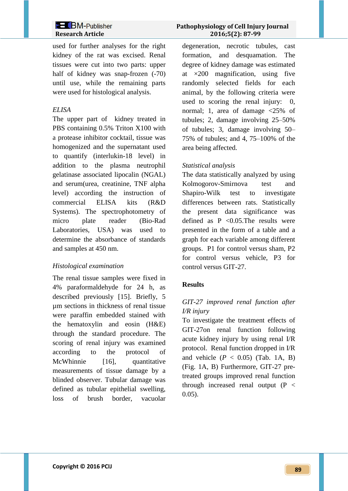used for further analyses for the right kidney of the rat was excised. Renal tissues were cut into two parts: upper half of kidney was snap-frozen  $(-70)$ until use, while the remaining parts were used for histological analysis.

## *ELISA*

The upper part of kidney treated in PBS containing 0.5% Triton X100 with a protease inhibitor cocktail, tissue was homogenized and the supernatant used to quantify (interlukin-18 level) in addition to the plasma neutrophil gelatinase associated lipocalin (NGAL) and serum(urea, creatinine, TNF alpha level) according the instruction of commercial ELISA kits (R&D Systems). The spectrophotometry of micro plate reader (Bio-Rad Laboratories, USA) was used to determine the absorbance of standards and samples at 450 nm.

## *Histological examination*

The renal tissue samples were fixed in 4% paraformaldehyde for 24 h, as described previously [15]. Briefly, 5 µm sections in thickness of renal tissue were paraffin embedded stained with the hematoxylin and eosin (H&E) through the standard procedure. The scoring of renal injury was examined according to the protocol of McWhinnie [16], quantitative measurements of tissue damage by a blinded observer. Tubular damage was defined as tubular epithelial swelling, loss of brush border, vacuolar

degeneration, necrotic tubules, cast formation, and desquamation. The degree of kidney damage was estimated at  $\times 200$  magnification, using five randomly selected fields for each animal, by the following criteria were used to scoring the renal injury: 0, normal; 1, area of damage <25% of tubules; 2, damage involving 25–50% of tubules; 3, damage involving 50– 75% of tubules; and 4, 75–100% of the area being affected.

## *Statistical analysis*

The data statistically analyzed by using Kolmogorov-Smirnova test and Shapiro-Wilk test to investigate differences between rats. Statistically the present data significance was defined as  $P \leq 0.05$ . The results were presented in the form of a table and a graph for each variable among different groups. P1 for control versus sham, P2 for control versus vehicle, P3 for control versus GIT-27.

## **Results**

# *GIT-27 improved renal function after I/R injury*

To investigate the treatment effects of GIT-27on renal function following acute kidney injury by using renal I/R protocol. Renal function dropped in I/R and vehicle  $(P < 0.05)$  (Tab. 1A, B) (Fig. 1A, B) Furthermore, GIT-27 pretreated groups improved renal function through increased renal output  $(P \leq$ 0.05).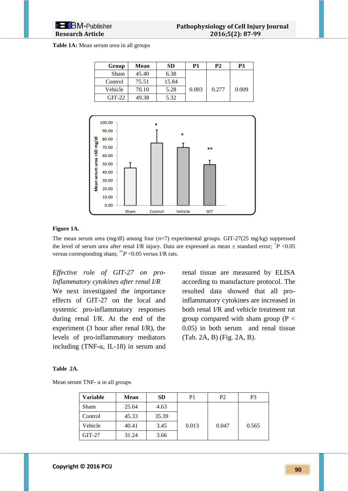#### **Table 1A:** Mean serum urea in all groups

| Group    | Mean  | <b>SD</b> | P1    | <b>P2</b> | P3    |
|----------|-------|-----------|-------|-----------|-------|
| Sham     | 45.40 | 6.38      |       |           |       |
| Control  | 75.51 | 15.84     |       |           |       |
| Vehicle  | 70.10 | 5.28      | 0.003 | 0.277     | 0.009 |
| $GIT-22$ | 49.38 | 5.32      |       |           |       |



### **Figure 1A.**

The mean serum urea (mg/dl) among four (*n*=7) experimental groups. GIT-27(25 mg/kg) suppressed the level of serum urea after renal I/R injury. Data are expressed as mean  $\pm$  standard error;  $^*P$  <0.05 versus corresponding sham; \*\**P* <0.05 versus I/R rats.

*Effective role of GIT-27 on pro-Inflammatory cytokines after renal I/R* We next investigated the importance effects of GIT-27 on the local and systemic pro-inflammatory responses during renal I/R. At the end of the experiment (3 hour after renal I/R), the levels of pro-inflammatory mediators including (TNF- $\alpha$ , IL-18) in serum and

renal tissue are measured by ELISA according to manufacture protocol. The resulted data showed that all proinflammatory cytokines are increased in both renal I/R and vehicle treatment rat group compared with sham group ( $P \lt$ 0.05) in both serum and renal tissue (Tab. 2A, B) (Fig. 2A, B).

#### **Table 2A.**

Mean serum TNF-  $\alpha$  in all groups

| Variable | <b>Mean</b> | <b>SD</b> | P1    | P <sub>2</sub> | P3    |
|----------|-------------|-----------|-------|----------------|-------|
| Sham     | 25.64       | 4.63      |       |                |       |
| Control  | 45.33       | 35.39     |       |                |       |
| Vehicle  | 40.41       | 3.45      | 0.013 | 0.047          | 0.565 |
| $GIT-27$ | 31.24       | 3.66      |       |                |       |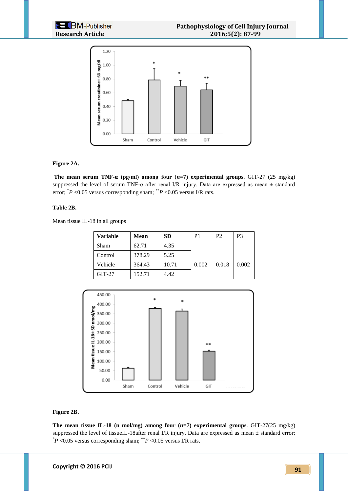

#### **Figure 2A.**

**The mean serum TNF-α (pg/ml) among four (***n***=7) experimental groups**. GIT-27 (25 mg/kg) suppressed the level of serum TNF- $\alpha$  after renal I/R injury. Data are expressed as mean  $\pm$  standard error;  $^*P$  <0.05 versus corresponding sham;  $^{**}P$  <0.05 versus I/R rats.

#### **Table 2B.**

Mean tissue IL-18 in all groups

| Variable | Mean   | <b>SD</b> | P1    | P <sub>2</sub> | P3    |
|----------|--------|-----------|-------|----------------|-------|
| Sham     | 62.71  | 4.35      |       |                |       |
| Control  | 378.29 | 5.25      |       |                |       |
| Vehicle  | 364.43 | 10.71     | 0.002 | 0.018          | 0.002 |
| $GIT-27$ | 152.71 | 4.42      |       |                |       |



### **Figure 2B.**

**The mean tissue IL-18 (n mol/mg) among four**  $(n=7)$  **experimental groups.** GIT-27(25 mg/kg) suppressed the level of tissueIL-18after renal I/R injury. Data are expressed as mean  $\pm$  standard error;  $*P$  <0.05 versus corresponding sham;  $*P$  <0.05 versus I/R rats.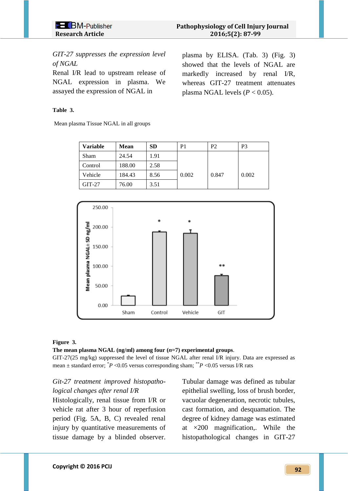*GIT-27 suppresses the expression level of NGAL*

Renal I/R lead to upstream release of NGAL expression in plasma. We assayed the expression of NGAL in

### **Table 3.**

Mean plasma Tissue NGAL in all groups

plasma by ELISA. (Tab. 3) (Fig. 3) showed that the levels of NGAL are markedly increased by renal I/R, whereas GIT-27 treatment attenuates plasma NGAL levels ( $P < 0.05$ ).

| <b>Variable</b> | <b>Mean</b> | <b>SD</b> | P1    | P <sub>2</sub> | P3    |
|-----------------|-------------|-----------|-------|----------------|-------|
| <b>Sham</b>     | 24.54       | 1.91      |       |                |       |
| Control         | 188.00      | 2.58      |       |                |       |
| Vehicle         | 184.43      | 8.56      | 0.002 | 0.847          | 0.002 |
| $GIT-27$        | 76.00       | 3.51      |       |                |       |



#### **Figure 3.**

#### **The mean plasma NGAL (ng/ml) among four (***n***=7) experimental groups**.

GIT-27(25 mg/kg) suppressed the level of tissue NGAL after renal I/R injury. Data are expressed as mean  $\pm$  standard error;  $\angle P$  <0.05 versus corresponding sham;  $\angle P$  <0.05 versus I/R rats

# *Git-27 treatment improved histopathological changes after renal I/R*

Histologically, renal tissue from I/R or vehicle rat after 3 hour of reperfusion period (Fig. 5A, B, C) revealed renal injury by quantitative measurements of tissue damage by a blinded observer. Tubular damage was defined as tubular epithelial swelling, loss of brush border, vacuolar degeneration, necrotic tubules, cast formation, and desquamation. The degree of kidney damage was estimated at ×200 magnification,. While the histopathological changes in GIT-27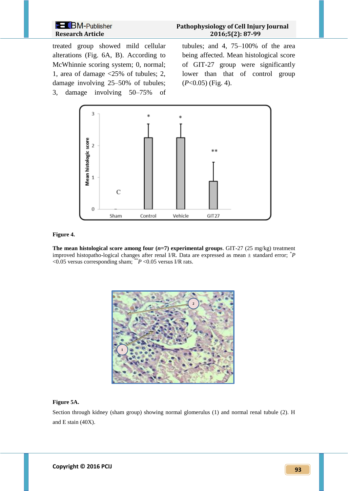**Pathophysiology of Cell Injury Journal Research Article 2016;5(2): 87-99**

treated group showed mild cellular alterations (Fig. 6A, B). According to McWhinnie scoring system; 0, normal; 1, area of damage <25% of tubules; 2, damage involving 25–50% of tubules; 3, damage involving 50–75% of tubules; and 4, 75–100% of the area being affected. Mean histological score of GIT-27 group were significantly lower than that of control group (*P*<0.05) (Fig. 4).



#### **Figure 4.**

**The mean histological score among four (***n***=7) experimental groups**. GIT-27 (25 mg/kg) treatment improved histopatho-logical changes after renal I/R. Data are expressed as mean  $\pm$  standard error;  $^*P$ <0.05 versus corresponding sham; \*\**P* <0.05 versus I/R rats.



#### **Figure 5A.**

Section through kidney (sham group) showing normal glomerulus (1) and normal renal tubule (2). H and E stain (40X).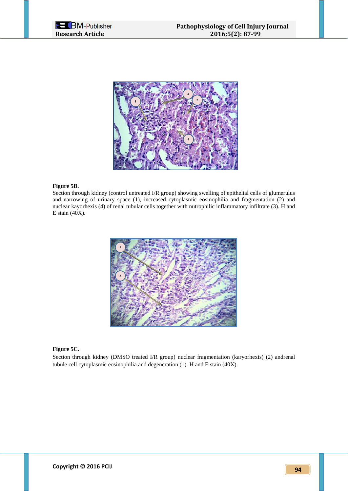



#### **Figure 5B.**

Section through kidney (control untreated I/R group) showing swelling of epithelial cells of glumerulus and narrowing of urinary space (1), increased cytoplasmic eosinophilia and fragmentation (2) and nuclear kayorhexis (4) of renal tubular cells together with nutrophilic inflammatory infiltrate (3). H and E stain (40X).



#### **Figure 5C.**

Section through kidney (DMSO treated I/R group) nuclear fragmentation (karyorhexis) (2) andrenal tubule cell cytoplasmic eosinophilia and degeneration (1). H and E stain (40X).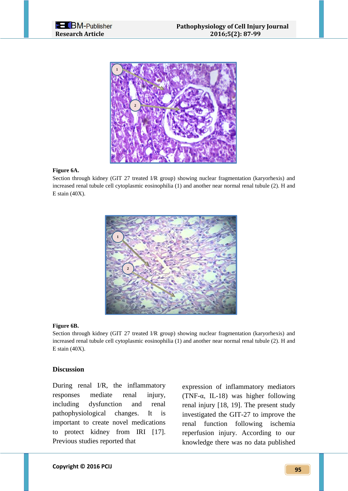



### **Figure 6A.**

Section through kidney (GIT 27 treated I/R group) showing nuclear fragmentation (karyorhexis) and increased renal tubule cell cytoplasmic eosinophilia (1) and another near normal renal tubule (2). H and E stain (40X).



#### **Figure 6B.**

Section through kidney (GIT 27 treated I/R group) showing nuclear fragmentation (karyorhexis) and increased renal tubule cell cytoplasmic eosinophilia (1) and another near normal renal tubule (2). H and E stain (40X).

## **Discussion**

During renal I/R, the inflammatory responses mediate renal injury, including dysfunction and renal pathophysiological changes. It is important to create novel medications to protect kidney from IRI [17]. Previous studies reported that

expression of inflammatory mediators (TNF-α, IL-18) was higher following renal injury [18, 19]. The present study investigated the GIT-27 to improve the renal function following ischemia reperfusion injury. According to our knowledge there was no data published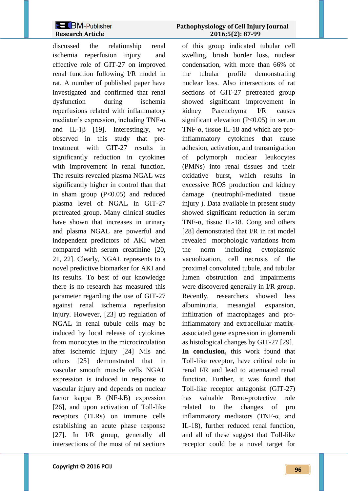discussed the relationship renal ischemia reperfusion injury and effective role of GIT-27 on improved renal function following I/R model in rat. A number of published paper have investigated and confirmed that renal dysfunction during ischemia reperfusions related with inflammatory mediator's expression, including TNF-α and IL-1 $\beta$  [19]. Interestingly, we observed in this study that pretreatment with GIT-27 results in significantly reduction in cytokines with improvement in renal function. The results revealed plasma NGAL was significantly higher in control than that in sham group (P<0.05) and reduced plasma level of NGAL in GIT-27 pretreated group. Many clinical studies have shown that increases in urinary and plasma NGAL are powerful and independent predictors of AKI when compared with serum creatinine [20, 21, 22]. Clearly, NGAL represents to a novel predictive biomarker for AKI and its results. To best of our knowledge there is no research has measured this parameter regarding the use of GIT-27 against renal ischemia reperfusion injury. However, [23] up regulation of NGAL in renal tubule cells may be induced by local release of cytokines from monocytes in the microcirculation after ischemic injury [24] Nils and others [25] demonstrated that in vascular smooth muscle cells NGAL expression is induced in response to vascular injury and depends on nuclear factor kappa B (NF-kB) expression [26], and upon activation of Toll-like receptors (TLRs) on immune cells establishing an acute phase response [27]. In I/R group, generally all intersections of the most of rat sections

# **2 BM-Publisher** Pathophysiology of Cell Injury Journal  **Research Article 2016;5(2): 87-99**

of this group indicated tubular cell swelling, brush border loss, nuclear condensation, with more than 66% of the tubular profile demonstrating nuclear loss. Also intersections of rat sections of GIT-27 pretreated group showed significant improvement in kidney Parenchyma I/R causes significant elevation  $(P<0.05)$  in serum TNF-α, tissue IL-18 and which are proinflammatory cytokines that cause adhesion, activation, and transmigration of polymorph nuclear leukocytes (PMNs) into renal tissues and their oxidative burst, which results in excessive ROS production and kidney damage (neutrophil-mediated tissue injury ). Data available in present study showed significant reduction in serum TNF-α, tissue IL-18. Cong and others [28] demonstrated that I/R in rat model revealed morphologic variations from the norm including cytoplasmic vacuolization, cell necrosis of the proximal convoluted tubule, and tubular lumen obstruction and impairments were discovered generally in I/R group. Recently, researchers showed less albuminuria, mesangial expansion, infiltration of macrophages and proinflammatory and extracellular matrixassociated gene expression in glomeruli as histological changes by GIT-27 [29]. **In conclusion,** this work found that Toll-like receptor, have critical role in renal I/R and lead to attenuated renal function. Further, it was found that Toll-like receptor antagonist (GIT-27) has valuable Reno-protective role related to the changes of pro inflammatory mediators (TNF-α, and IL-18), further reduced renal function, and all of these suggest that Toll-like receptor could be a novel target for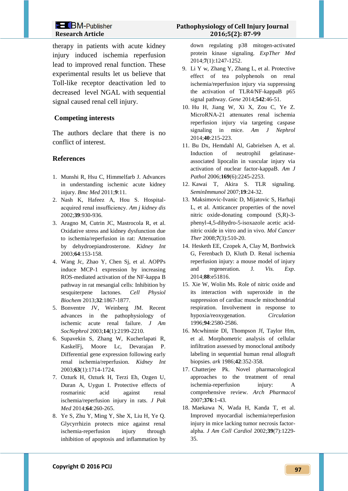therapy in patients with acute kidney injury induced ischemia reperfusion lead to improved renal function. These experimental results let us believe that Toll-like receptor deactivation led to decreased level NGAL with sequential signal caused renal cell injury.

# **Competing interests**

The authors declare that there is no conflict of interest.

## **References**

- 1. Munshi R, Hsu C, Himmelfarb J. Advances in understanding ischemic acute kidney injury. *Bmc Med* 2011;**9**:11.
- 2. Nash K, Hafeez A, Hou S. Hospitalacquired renal insufficiency. *Am j kidney dis* 2002;**39**:930-936.
- 3. Aragno M, Cutrin JC, Mastrocola R, et al. Oxidative stress and kidney dysfunction due to ischemia/reperfusion in rat: Attenuation by dehydroepiandrosterone. *Kidney Int* 2003;**64**:153-158.
- 4. Wang Jc, Zhao Y, Chen Sj, et al. AOPPs induce MCP-1 expression by increasing ROS-mediated activation of the NF-kappa B pathway in rat mesangial cells: Inhibition by sesquiterpene lactones. *Cell Physiol Biochem* 2013;**32**:1867-1877.
- 5. Bonventre JV, Weinberg JM. Recent advances in the pathophysiology of ischemic acute renal failure. *J Am SocNephrol* 2003;**14**(1):2199-2210.
- 6. Supavekin S, Zhang W, Kucherlapati R, KaskelFj, Moore Lc, Devarajan P. Differential gene expression following early renal ischemia/reperfusion. *Kidney Int* 2003;**63**(1):1714-1724.
- 7. Ozturk H, Ozturk H, Terzi Eh, Ozgen U, Duran A, Uygun I. Protective effects of rosmarinic acid against renal ischemia/reperfusion injury in rats. *J Pak Med* 2014;**64**:260-265.
- 8. Ye S, Zhu Y, Ming Y, She X, Liu H, Ye Q. Glycyrrhizin protects mice against renal ischemia-reperfusion injury through inhibition of apoptosis and inflammation by

# **Pathophysiology of Cell Injury Journal Research Article 2016;5(2): 87-99**

down regulating p38 mitogen-activated protein kinase signaling. *ExpTher Med* 2014;**7**(1):1247-1252.

- 9. Li Y w, Zhang Y, Zhang L, et al. Protective effect of tea polyphenols on renal ischemia/reperfusion injury via suppressing the activation of TLR4/NF-kappaB p65 signal pathway. *Gene* 2014;**542**:46-51.
- 10. Hu H, Jiang W, Xi X, Zou C, Ye Z. MicroRNA-21 attenuates renal ischemia reperfusion injury via targeting caspase signaling in mice. *Am J Nephrol* 2014;**40**:215-223.
- 11. Bu Dx, Hemdahl Al, Gabrielsen A, et al. Induction of neutrophil gelatinaseassociated lipocalin in vascular injury via activation of nuclear factor-kappaB. *Am J Pathol* 2006;**169**(6):2245-2253.
- 12. Kawai T, Akira S. TLR signaling. *SeminImmunol* 2007;**19**:24-32.
- 13. Maksimovic-Ivanic D, Mijatovic S, Harhaji L, et al. Anticancer properties of the novel nitric oxide-donating compound (S,R)-3 phenyl-4,5-dihydro-5-isoxazole acetic acidnitric oxide in vitro and in vivo. *Mol Cancer Ther* 2008;**7**(3):510-20.
- 14. Hesketh EE, Czopek A, Clay M, Borthwick G, Ferenbach D, Kluth D. Renal ischemia reperfusion injury: a mouse model of injury and regeneration. J*. Vis. Exp*. 2014;**88**:e51816.
- 15. Xie W, Wolin Ms. Role of nitric oxide and its interaction with superoxide in the suppression of cardiac muscle mitochondrial respiration. Involvement in response to hypoxia/reoxygenation. *Circulation* 1996;**94**:2580-2586.
- 16. Mcwhinnie Dl, Thompson Jf, Taylor Hm, et al. Morphometric analysis of cellular infiltration assessed by monoclonal antibody labeling in sequential human renal allograft biopsies. *ark* 1986;**42**:352-358.
- 17. Chatterjee Pk. Novel pharmacological approaches to the treatment of renal ischemia-reperfusion injury: A comprehensive review. *Arch Pharmacol* 2007;**376**:1-43.
- 18. Maekawa N, Wada H, Kanda T, et al. Improved myocardial ischemia/reperfusion injury in mice lacking tumor necrosis factoralpha. *J Am Coll Cardiol* 2002;**39**(7):1229- 35.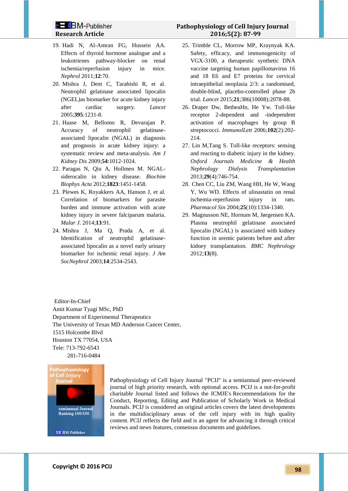- 19. Hadi N, Al-Amran FG, Hussein AA. Effects of thyroid hormone analogue and a leukotrienes pathway-blocker on renal ischemia/reperfusion injury in mice. *Nephrol* 2011;**12**:70.
- 20. Mishra J, Dent C, Tarabishi R, et al. Neutrophil gelatinase associated lipocalin (NGEL)as biomarker for acute kidney injury after cardiac surgery. *Lancet*  2005;**395**:1231-8.
- 21. Haase M, Bellomo R, Devarajan P. Accuracy of neutrophil gelatinaseassociated lipocalin (NGAL) in diagnosis and prognosis in acute kidney injury: a systematic review and meta-analysis. *Am J Kidney Dis* 2009;**54**:1012-1024.
- 22. Paragas N, Qiu A, Hollmen M. NGALsiderocalin in kidney disease. *Biochim Biophys Acta* 2012;**1823**:1451-1458.
- 23. Plewes K, Royakkers AA, Hanson J, et al. Correlation of biomarkers for parasite burden and immune activation with acute kidney injury in severe falciparum malaria. *Malar J*. 2014;**13**:91.
- 24. Mishra J, Ma Q, Prada A, et al. Identification of neutrophil gelatinaseassociated lipocalin as a novel early urinary biomarker for ischemic renal injury. *J Am SocNephrol* 2003;**14**:2534-2543.
- 25. Trimble CL, Morrow MP, Kraynyak KA. Safety, efficacy, and immunogenicity of VGX-3100, a therapeutic synthetic DNA vaccine targeting human papillomavirus 16 and 18 E6 and E7 proteins for cervical intraepithelial neoplasia 2/3: a randomised, double-blind, placebo-controlled phase 2b trial. *Lancet* 2015;**21**;386(10008):2078-88.
- 26. Draper Dw, BetheaHn, He Yw. Toll-like receptor 2-dependent and -independent activation of macrophages by group B streptococci. *ImmunolLett* 2006;**102**(2):202- 214.
- 27. Lin M,Tang S. Toll-like receptors: sensing and reacting to diabetic injury in the kidney. *Oxford Journals Medicine & Health Nephrology Dialysis Transplantation* 2013;**29**(4):746-754.
- 28. Chen CC, Liu ZM, Wang HH, He W, Wang Y, Wu WD. Effects of ulinastatin on renal ischemia-reperfusion injury in rats. *Pharmacol Sin* 2004;**25**(10):1334-1340.
- 29. Magnusson NE, Hornum M, Jørgensen KA. Plasma neutrophil gelatinase associated lipocalin (NGAL) is associated with kidney function in uremic patients before and after kidney transplantation. *BMC Nephrology* 2012;**13**(8).

Editor-In-Chief Amit Kumar Tyagi MSc, PhD Department of Experimental Therapeutics The University of Texas MD Anderson Cancer Center, 1515 Holcombe Blvd Houston TX 77054, USA Tele: 713-792-6543 281-716-0484



Pathophysiology of Cell Injury Journal "PCIJ" is a semiannual peer-reviewed journal of high priority research, with optional access. PCIJ is a not-for-profit charitable Journal listed and follows the ICMJE's [Recommendations for the](http://www.icmje.org/recommendations/)  [Conduct, Reporting, Editing and Publication of Scholarly Work in Medical](http://www.icmje.org/recommendations/)  [Journals.](http://www.icmje.org/recommendations/) PCIJ is considered an original articles covers the latest developments in the multidisciplinary areas of the cell injury with its high quality content. PCIJ reflects the field and is an agent for advancing it through critical reviews and news features, consensus documents and guidelines.